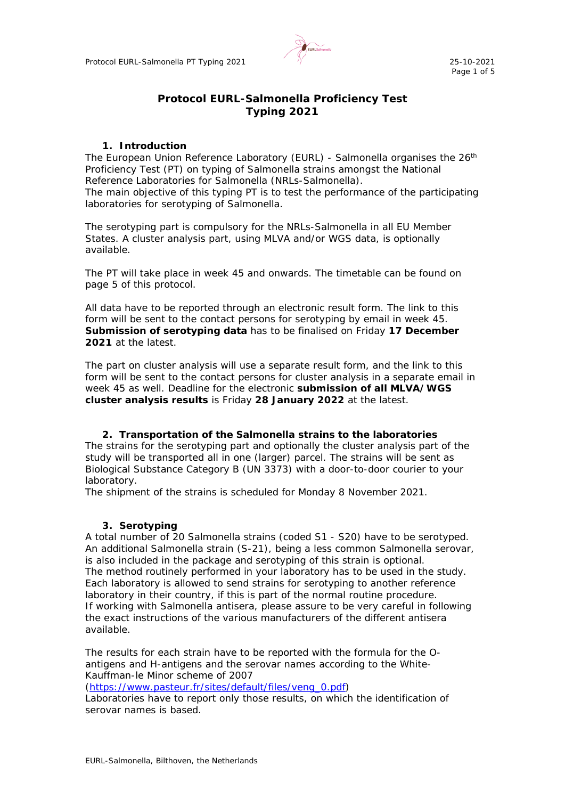

# **Protocol EURL-***Salmonella* **Proficiency Test Typing 2021**

# **1. Introduction**

The European Union Reference Laboratory (EURL) - *Salmonella* organises the 26th Proficiency Test (PT) on typing of *Salmonella* strains amongst the National Reference Laboratories for *Salmonella* (NRLs-*Salmonella*). The main objective of this typing PT is to test the performance of the participating laboratories for serotyping of *Salmonella*.

The serotyping part is compulsory for the NRLs-*Salmonella* in all EU Member States. A cluster analysis part, using MLVA and/or WGS data, is optionally available.

The PT will take place in week 45 and onwards. The timetable can be found on page 5 of this protocol.

All data have to be reported through an electronic result form. The link to this form will be sent to the contact persons for serotyping by email in week 45. **Submission of serotyping data** has to be finalised on Friday **17 December 2021** at the latest.

The part on cluster analysis will use a separate result form, and the link to this form will be sent to the contact persons for cluster analysis in a separate email in week 45 as well. Deadline for the electronic **submission of all MLVA/WGS cluster analysis results** is Friday **28 January 2022** at the latest.

# **2. Transportation of the** *Salmonella* **strains to the laboratories** The strains for the serotyping part and optionally the cluster analysis part of the

study will be transported all in one (larger) parcel. The strains will be sent as Biological Substance Category B (UN 3373) with a door-to-door courier to your laboratory.

The shipment of the strains is scheduled for Monday 8 November 2021.

## **3. Serotyping**

A total number of 20 *Salmonella* strains (coded S1 - S20) have to be serotyped. An additional *Salmonella* strain (S-21), being a less common *Salmonella* serovar, is also included in the package and serotyping of this strain is optional. *The method routinely performed in your laboratory has to be used in the study.* Each laboratory is allowed to send strains for serotyping to another reference laboratory in their country, if this is part of the normal routine procedure. If working with *Salmonella* antisera, please assure to be very careful in following the exact instructions of the various manufacturers of the different antisera available.

The results for each strain have to be reported with the formula for the Oantigens and H-antigens and the serovar names according to the White-Kauffman-le Minor scheme of 2007

[\(https://www.pasteur.fr/sites/default/files/veng\\_0.pdf\)](https://www.pasteur.fr/sites/default/files/veng_0.pdf)

Laboratories have to report only those results, on which the identification of serovar names is based.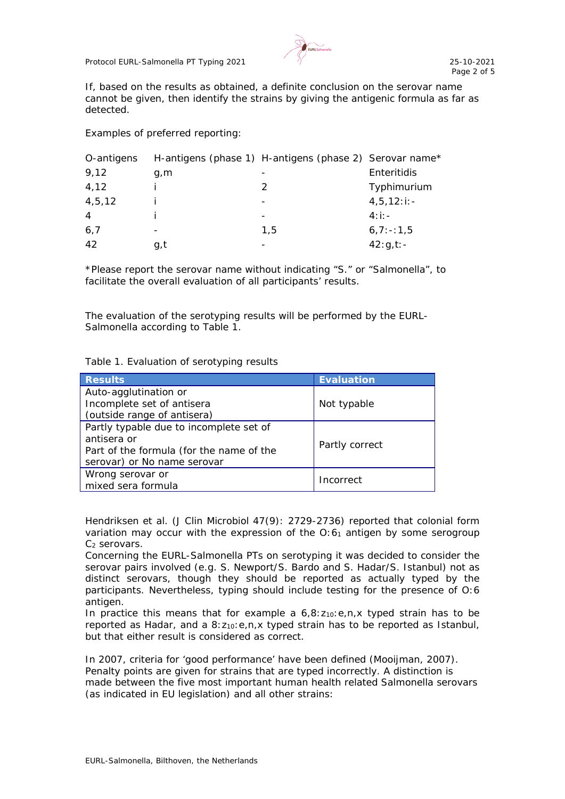Protocol EURL-*Salmonella* PT Typing 2021 25-10-2021



If, based on the results as obtained, a definite conclusion on the serovar name cannot be given, then identify the strains by giving the antigenic formula as far as detected.

Examples of preferred reporting:

| O-antigens     |      | H-antigens (phase 1) H-antigens (phase 2) Serovar name* |                   |
|----------------|------|---------------------------------------------------------|-------------------|
| 9,12           | q,m  |                                                         | Enteritidis       |
| 4,12           |      | 2                                                       | Typhimurium       |
| 4,5,12         |      |                                                         | $4, 5, 12$ : i: - |
| $\overline{4}$ |      |                                                         | $4:1:-$           |
| 6,7            |      | 1.5                                                     | $6, 7: -: 1, 5$   |
| 42             | q, t |                                                         | $42:q,t:-$        |

\*Please report the serovar name without indicating "*S*." or "*Salmonella*", to facilitate the overall evaluation of all participants' results.

The evaluation of the serotyping results will be performed by the EURL-*Salmonella* according to Table 1.

|  | Table 1. Evaluation of serotyping results |
|--|-------------------------------------------|
|--|-------------------------------------------|

| <b>Results</b>                           | <b>Evaluation</b> |
|------------------------------------------|-------------------|
| Auto-agglutination or                    |                   |
| Incomplete set of antisera               | Not typable       |
| (outside range of antisera)              |                   |
| Partly typable due to incomplete set of  | Partly correct    |
| antisera or                              |                   |
| Part of the formula (for the name of the |                   |
| serovar) or No name serovar              |                   |
| Wrong serovar or                         | Incorrect         |
| mixed sera formula                       |                   |

Hendriksen et al. (J Clin Microbiol 47(9): 2729-2736) reported that colonial form variation may occur with the expression of the O:61 antigen by some serogroup C<sub>2</sub> serovars.

Concerning the EURL-*Salmonella* PTs on serotyping it was decided to consider the serovar pairs involved (e.g. *S.* Newport/*S.* Bardo and *S.* Hadar/*S.* Istanbul) not as distinct serovars, though they should be reported as actually typed by the participants. Nevertheless, typing should include testing for the presence of O:6 antigen.

In practice this means that for example a  $6,8:z_{10}:e,n,x$  typed strain has to be reported as Hadar, and a 8:  $z_{10}$ : e, n, x typed strain has to be reported as Istanbul, but that either result is considered as correct.

In 2007, criteria for 'good performance' have been defined (Mooijman, 2007). Penalty points are given for strains that are typed incorrectly. A distinction is made between the five most important human health related *Salmonella* serovars (as indicated in EU legislation) and all other strains: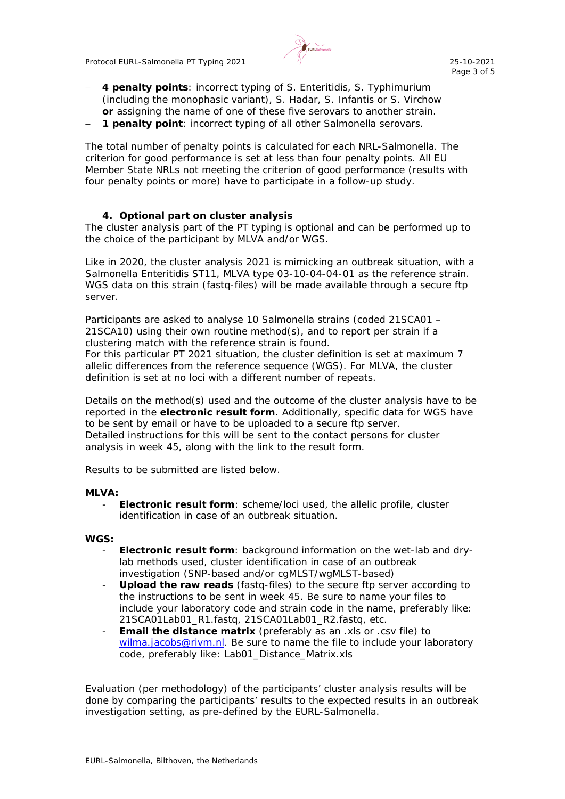

- − **4 penalty points**: incorrect typing of *S*. Enteritidis, *S*. Typhimurium (including the monophasic variant), *S*. Hadar, *S*. Infantis or *S*. Virchow **or** assigning the name of one of these five serovars to another strain.
- − **1 penalty point**: incorrect typing of all other *Salmonella* serovars.

The total number of penalty points is calculated for each NRL-*Salmonella*. The criterion for good performance is set at less than four penalty points. All EU Member State NRLs not meeting the criterion of good performance (results with four penalty points or more) have to participate in a follow-up study.

# **4. Optional part on cluster analysis**

The cluster analysis part of the PT typing is optional and can be performed up to the choice of the participant by MLVA and/or WGS.

Like in 2020, the cluster analysis 2021 is mimicking an outbreak situation, with a *Salmonella* Enteritidis ST11, MLVA type 03-10-04-04-01 as the reference strain. WGS data on this strain (fastq-files) will be made available through a secure ftp server.

Participants are asked to analyse 10 *Salmonella* strains (coded 21SCA01 – 21SCA10) using their own routine method(s), and to report per strain if a clustering match with the reference strain is found. For this particular PT 2021 situation, the cluster definition is set at maximum 7 allelic differences from the reference sequence (WGS). For MLVA, the cluster definition is set at no loci with a different number of repeats.

Details on the method(s) used and the outcome of the cluster analysis have to be reported in the **electronic result form**. Additionally, specific data for WGS have to be sent by email or have to be uploaded to a secure ftp server. Detailed instructions for this will be sent to the contact persons for cluster analysis in week 45, along with the link to the result form.

Results to be submitted are listed below.

## **MLVA:**

**Electronic result form**: scheme/loci used, the allelic profile, cluster identification in case of an outbreak situation.

#### **WGS:**

- **Electronic result form**: background information on the wet-lab and drylab methods used, cluster identification in case of an outbreak investigation (SNP-based and/or cgMLST/wgMLST-based)
- Upload the raw reads (fastq-files) to the secure ftp server according to the instructions to be sent in week 45. Be sure to name your files to include your laboratory code and strain code in the name, preferably like: 21SCA01Lab01\_R1.fastq, 21SCA01Lab01\_R2.fastq, etc.
- **Email the distance matrix** (preferably as an .xls or .csv file) to [wilma.jacobs@rivm.nl.](mailto:wilma.jacobs@rivm.nl) Be sure to name the file to include your laboratory code, preferably like: Lab01\_Distance\_Matrix.xls

Evaluation (per methodology) of the participants' cluster analysis results will be done by comparing the participants' results to the expected results in an outbreak investigation setting, as pre-defined by the EURL-*Salmonella.*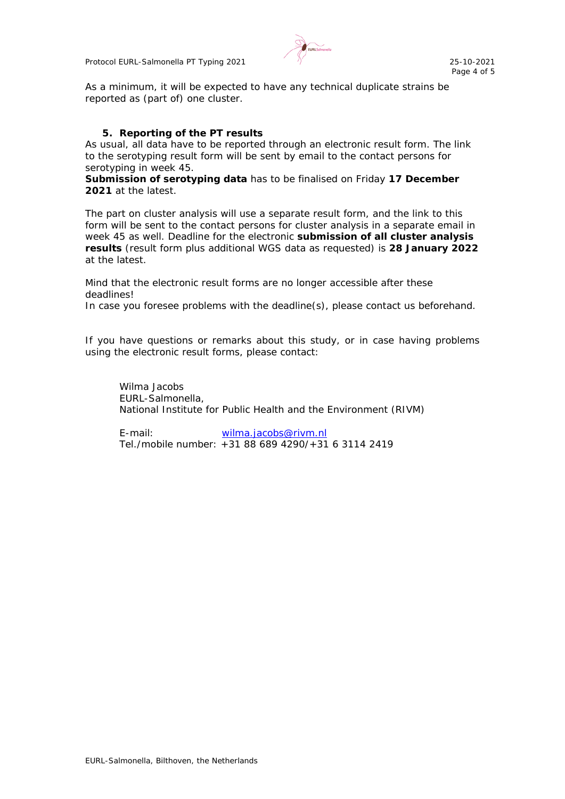Protocol EURL-*Salmonella* PT Typing 2021 25-10-2021



As a minimum, it will be expected to have any technical duplicate strains be reported as (part of) one cluster.

#### **5. Reporting of the PT results**

As usual, all data have to be reported through an electronic result form. The link to the serotyping result form will be sent by email to the contact persons for serotyping in week 45.

#### **Submission of serotyping data** has to be finalised on Friday **17 December 2021** at the latest.

The part on cluster analysis will use a separate result form, and the link to this form will be sent to the contact persons for cluster analysis in a separate email in week 45 as well. Deadline for the electronic **submission of all cluster analysis results** (result form plus additional WGS data as requested) is **28 January 2022** at the latest.

Mind that the electronic result forms are no longer accessible after these deadlines!

In case you foresee problems with the deadline(s), please contact us beforehand.

If you have questions or remarks about this study, or in case having problems using the electronic result forms, please contact:

Wilma Jacobs EURL-*Salmonella*, National Institute for Public Health and the Environment (RIVM)

E-mail: [wilma.jacobs@rivm.nl](mailto:wilma.jacobs@rivm.nl) Tel./mobile number: +31 88 689 4290/+31 6 3114 2419